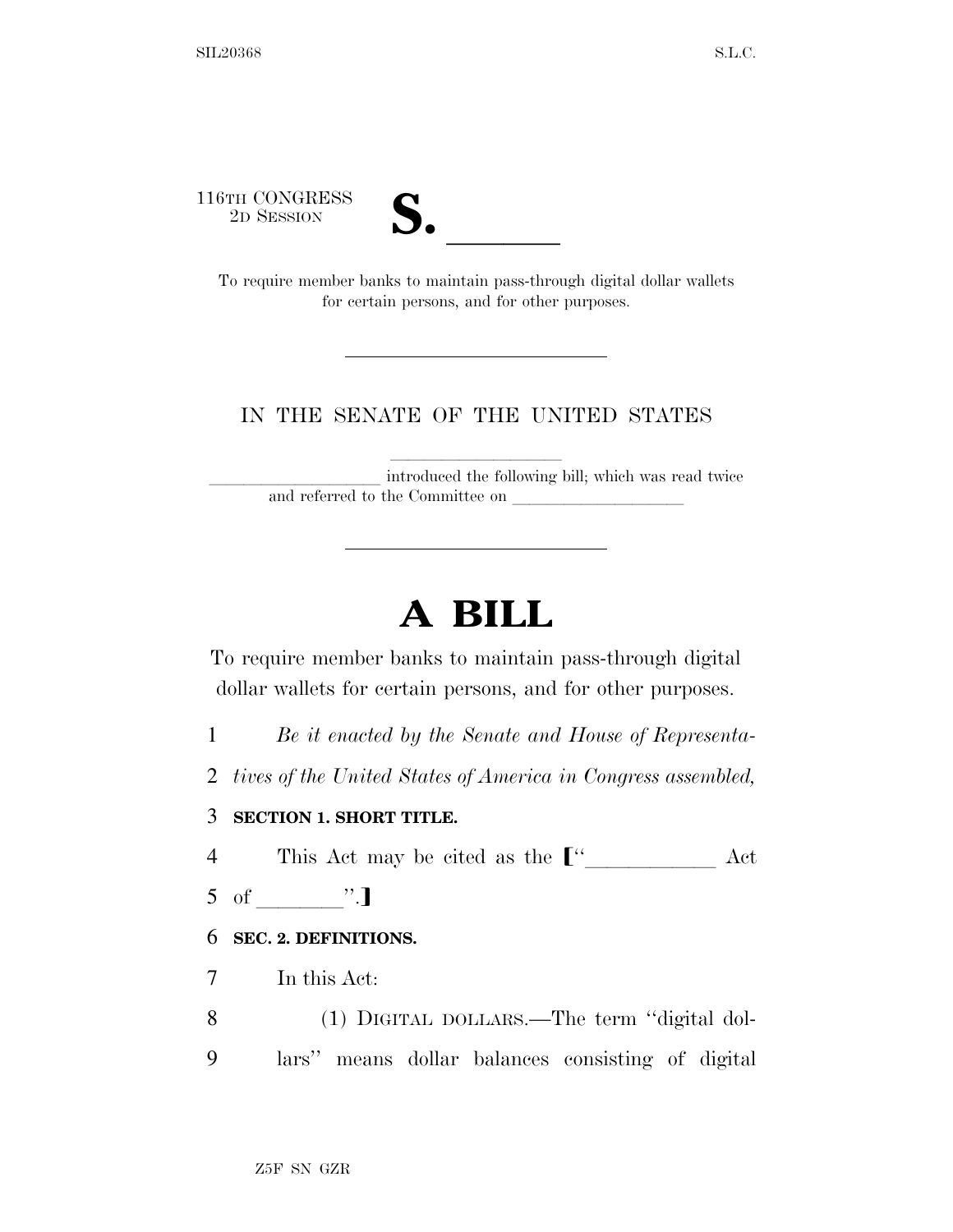116TH CONGRESS



STH CONGRESS<br>
2D SESSION<br>
To require member banks to maintain pass-through digital dollar wallets for certain persons, and for other purposes.

#### IN THE SENATE OF THE UNITED STATES

introduced the following bill; which was read twice and referred to the Committee on

# **A BILL**

To require member banks to maintain pass-through digital dollar wallets for certain persons, and for other purposes.

- 1 *Be it enacted by the Senate and House of Representa-*
- 2 *tives of the United States of America in Congress assembled,*

#### 3 **SECTION 1. SHORT TITLE.**

4 This Act may be cited as the  $\llbracket$ <sup>"</sup> Act

 $5 \text{ of } ".]$ 

#### 6 **SEC. 2. DEFINITIONS.**

- 7 In this Act:
- 8 (1) DIGITAL DOLLARS.—The term ''digital dol-9 lars'' means dollar balances consisting of digital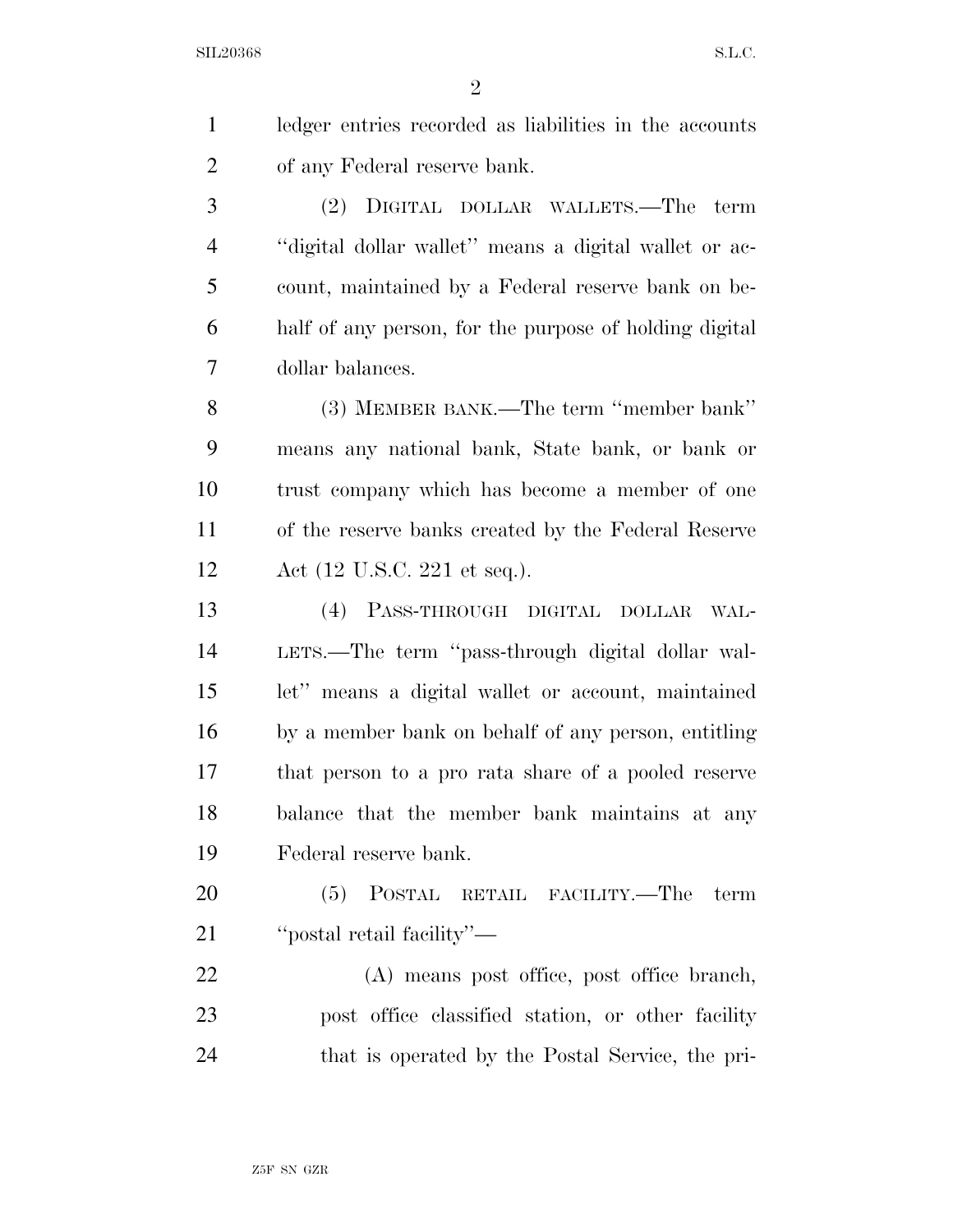$SL20368$  S.L.C.

 $\overline{2}$ 

| $\mathbf{1}$   | ledger entries recorded as liabilities in the accounts |
|----------------|--------------------------------------------------------|
| $\overline{2}$ | of any Federal reserve bank.                           |
| 3              | DIGITAL DOLLAR WALLETS.—The<br>term<br>(2)             |
| $\overline{4}$ | "digital dollar wallet" means a digital wallet or ac-  |
| 5              | count, maintained by a Federal reserve bank on be-     |
| 6              | half of any person, for the purpose of holding digital |
| 7              | dollar balances.                                       |
| 8              | (3) MEMBER BANK.—The term "member bank"                |
| 9              | means any national bank, State bank, or bank or        |
| 10             | trust company which has become a member of one         |
| 11             | of the reserve banks created by the Federal Reserve    |
| 12             | Act $(12 \text{ U.S.C. } 221 \text{ et seq.}).$        |
| 13             | (4) PASS-THROUGH DIGITAL DOLLAR<br>WAL-                |
| 14             | LETS.—The term "pass-through digital dollar wal-       |
| 15             | let" means a digital wallet or account, maintained     |
| 16             | by a member bank on behalf of any person, entitling    |
| 17             | that person to a pro rata share of a pooled reserve    |
| 18             | balance that the member bank maintains at any          |
| 19             | Federal reserve bank.                                  |
| 20             | (5) POSTAL RETAIL FACILITY.—The term                   |
| 21             | "postal retail facility"—                              |
| 22             | (A) means post office, post office branch,             |
| 23             | post office classified station, or other facility      |
| 24             | that is operated by the Postal Service, the pri-       |
|                |                                                        |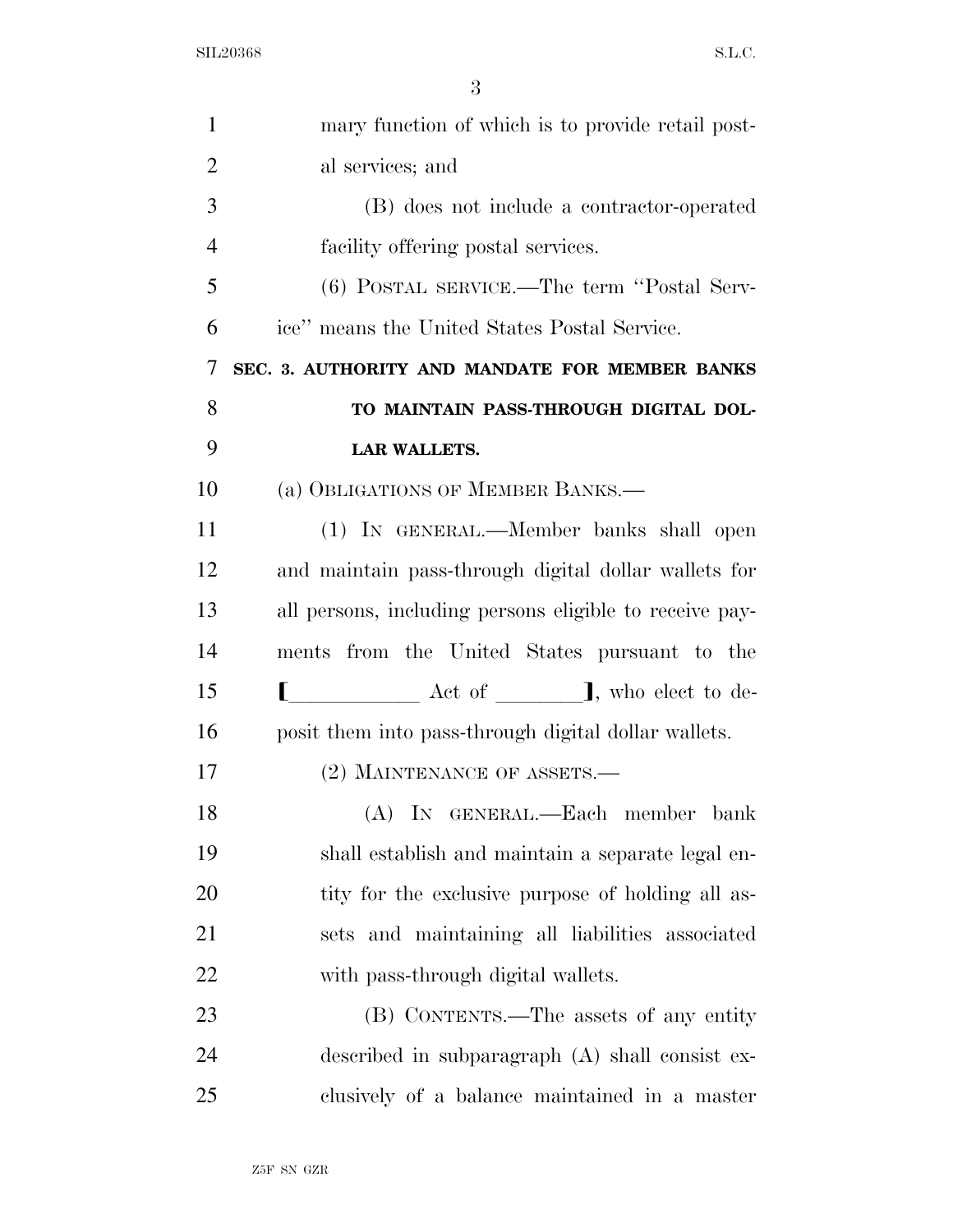| $\mathbf{1}$   | mary function of which is to provide retail post-       |
|----------------|---------------------------------------------------------|
| $\overline{2}$ | al services; and                                        |
| 3              | (B) does not include a contractor-operated              |
| $\overline{4}$ | facility offering postal services.                      |
| 5              | (6) POSTAL SERVICE.—The term "Postal Serv-              |
| 6              | ice" means the United States Postal Service.            |
| 7              | SEC. 3. AUTHORITY AND MANDATE FOR MEMBER BANKS          |
| 8              | TO MAINTAIN PASS-THROUGH DIGITAL DOL-                   |
| 9              | <b>LAR WALLETS.</b>                                     |
| 10             | (a) OBLIGATIONS OF MEMBER BANKS.—                       |
| 11             | (1) IN GENERAL.—Member banks shall open                 |
| 12             | and maintain pass-through digital dollar wallets for    |
| 13             | all persons, including persons eligible to receive pay- |
| 14             | ments from the United States pursuant to the            |
| 15             |                                                         |
| 16             | posit them into pass-through digital dollar wallets.    |
| 17             | (2) MAINTENANCE OF ASSETS.—                             |
| 18             | (A) IN GENERAL.-Each member bank                        |
| 19             | shall establish and maintain a separate legal en-       |
| 20             | tity for the exclusive purpose of holding all as-       |
| 21             | sets and maintaining all liabilities associated         |
| 22             | with pass-through digital wallets.                      |
| 23             | (B) CONTENTS.—The assets of any entity                  |
| 24             | described in subparagraph (A) shall consist ex-         |
| 25             | clusively of a balance maintained in a master           |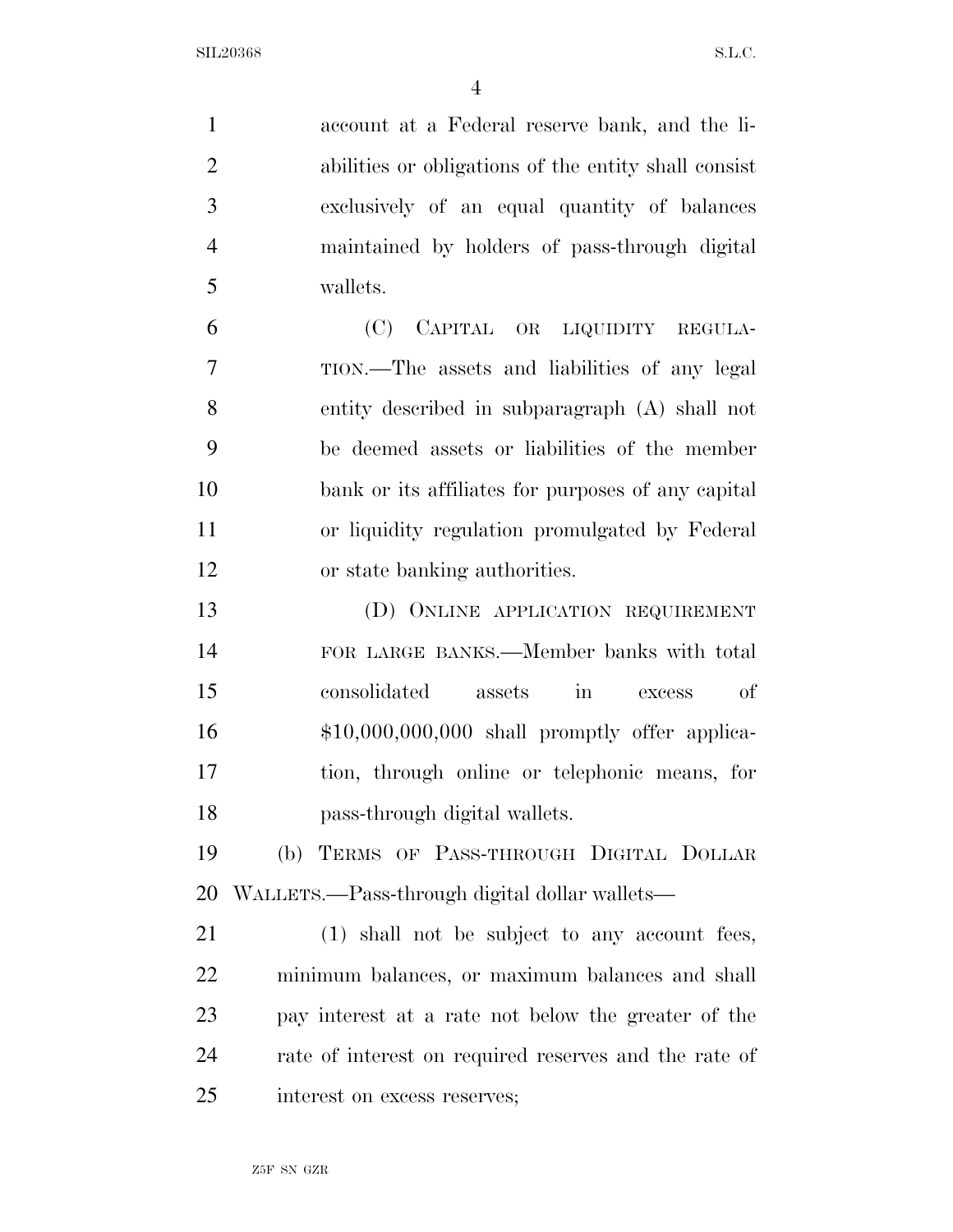account at a Federal reserve bank, and the li- abilities or obligations of the entity shall consist exclusively of an equal quantity of balances maintained by holders of pass-through digital wallets.

 (C) CAPITAL OR LIQUIDITY REGULA- TION.—The assets and liabilities of any legal entity described in subparagraph (A) shall not be deemed assets or liabilities of the member bank or its affiliates for purposes of any capital or liquidity regulation promulgated by Federal or state banking authorities.

 (D) ONLINE APPLICATION REQUIREMENT FOR LARGE BANKS.—Member banks with total consolidated assets in excess of \$10,000,000,000 shall promptly offer applica- tion, through online or telephonic means, for pass-through digital wallets.

 (b) TERMS OF PASS-THROUGH DIGITAL DOLLAR WALLETS.—Pass-through digital dollar wallets—

 (1) shall not be subject to any account fees, minimum balances, or maximum balances and shall pay interest at a rate not below the greater of the rate of interest on required reserves and the rate of interest on excess reserves;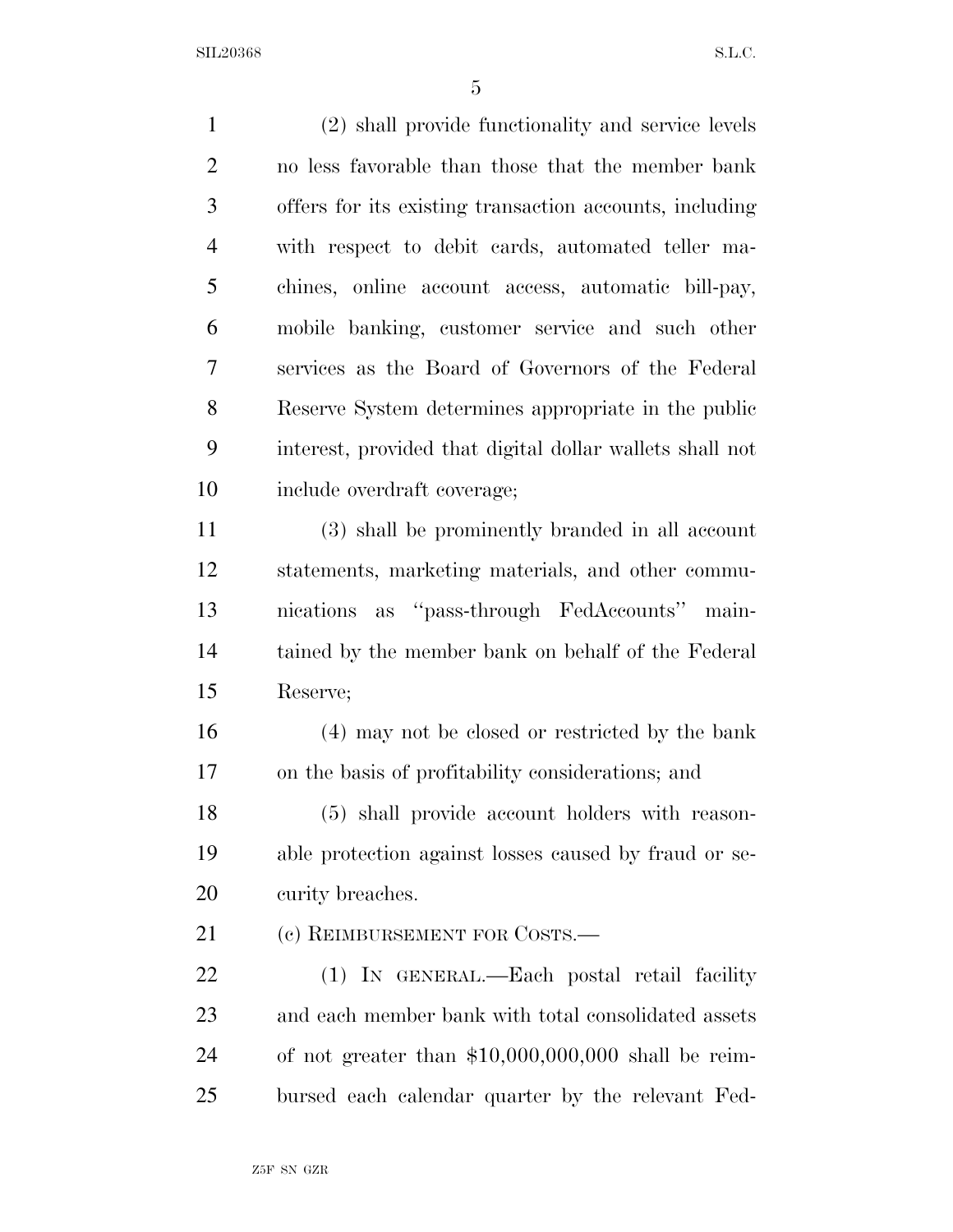$SL20368$  S.L.C.

| $\mathbf{1}$   | (2) shall provide functionality and service levels       |
|----------------|----------------------------------------------------------|
| $\overline{2}$ | no less favorable than those that the member bank        |
| 3              | offers for its existing transaction accounts, including  |
| $\overline{4}$ | with respect to debit cards, automated teller ma-        |
| 5              | chines, online account access, automatic bill-pay,       |
| 6              | mobile banking, customer service and such other          |
| $\overline{7}$ | services as the Board of Governors of the Federal        |
| 8              | Reserve System determines appropriate in the public      |
| 9              | interest, provided that digital dollar wallets shall not |
| 10             | include overdraft coverage;                              |
| 11             | (3) shall be prominently branded in all account          |
| 12             | statements, marketing materials, and other commu-        |
| 13             | nications as "pass-through FedAccounts" main-            |
| 14             | tained by the member bank on behalf of the Federal       |
| 15             | Reserve;                                                 |
| 16             | (4) may not be closed or restricted by the bank          |
| 17             | on the basis of profitability considerations; and        |
| 18             | (5) shall provide account holders with reason-           |
| 19             | able protection against losses caused by fraud or se-    |
| 20             | curity breaches.                                         |
| 21             | (c) REIMBURSEMENT FOR COSTS.—                            |
| 22             | (1) IN GENERAL.—Each postal retail facility              |
| 23             | and each member bank with total consolidated assets      |
| 24             | of not greater than $$10,000,000,000$ shall be reim-     |
| 25             | bursed each calendar quarter by the relevant Fed-        |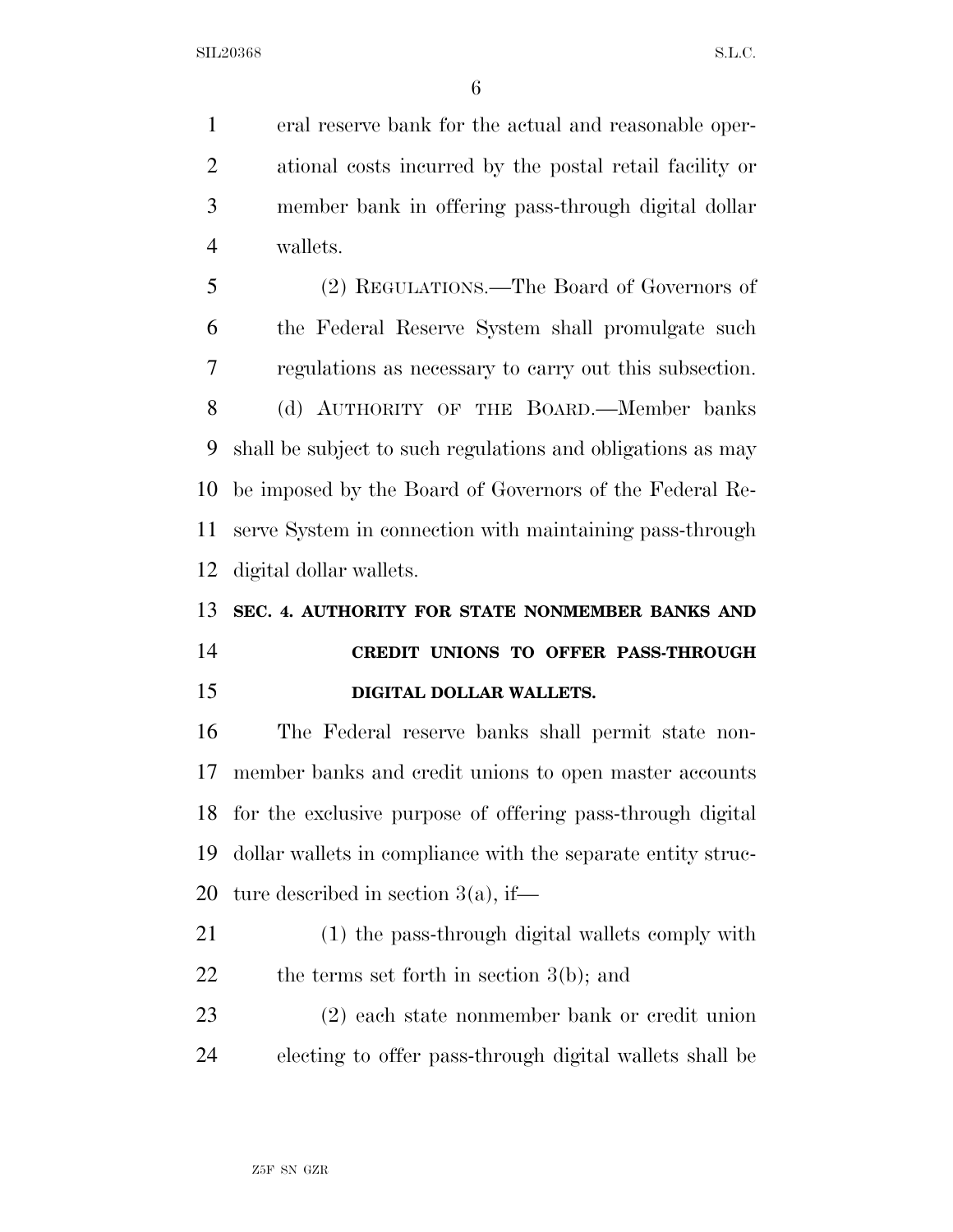$\text{SL}20368$  S.L.C.

 eral reserve bank for the actual and reasonable oper- ational costs incurred by the postal retail facility or member bank in offering pass-through digital dollar wallets.

 (2) REGULATIONS.—The Board of Governors of the Federal Reserve System shall promulgate such regulations as necessary to carry out this subsection. (d) AUTHORITY OF THE BOARD.—Member banks shall be subject to such regulations and obligations as may be imposed by the Board of Governors of the Federal Re- serve System in connection with maintaining pass-through digital dollar wallets.

## **SEC. 4. AUTHORITY FOR STATE NONMEMBER BANKS AND CREDIT UNIONS TO OFFER PASS-THROUGH DIGITAL DOLLAR WALLETS.**

 The Federal reserve banks shall permit state non- member banks and credit unions to open master accounts for the exclusive purpose of offering pass-through digital dollar wallets in compliance with the separate entity struc-ture described in section 3(a), if—

 (1) the pass-through digital wallets comply with 22 the terms set forth in section 3(b); and

 (2) each state nonmember bank or credit union electing to offer pass-through digital wallets shall be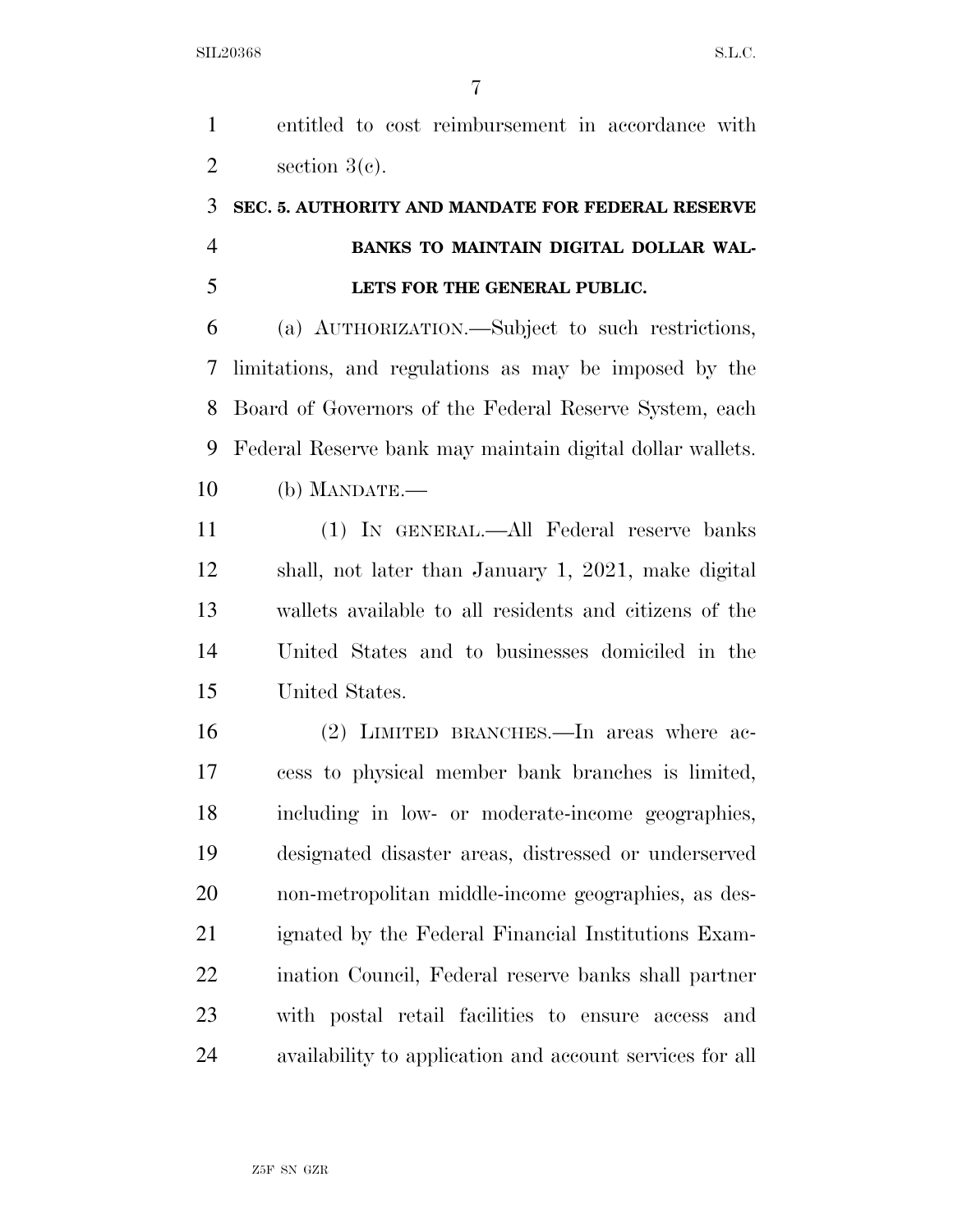entitled to cost reimbursement in accordance with  $2 \qquad \text{section } 3(c).$ 

### **SEC. 5. AUTHORITY AND MANDATE FOR FEDERAL RESERVE BANKS TO MAINTAIN DIGITAL DOLLAR WAL-LETS FOR THE GENERAL PUBLIC.**

 (a) AUTHORIZATION.—Subject to such restrictions, limitations, and regulations as may be imposed by the Board of Governors of the Federal Reserve System, each Federal Reserve bank may maintain digital dollar wallets. (b) MANDATE.—

 (1) IN GENERAL.—All Federal reserve banks shall, not later than January 1, 2021, make digital wallets available to all residents and citizens of the United States and to businesses domiciled in the United States.

 (2) LIMITED BRANCHES.—In areas where ac- cess to physical member bank branches is limited, including in low- or moderate-income geographies, designated disaster areas, distressed or underserved non-metropolitan middle-income geographies, as des- ignated by the Federal Financial Institutions Exam- ination Council, Federal reserve banks shall partner with postal retail facilities to ensure access and availability to application and account services for all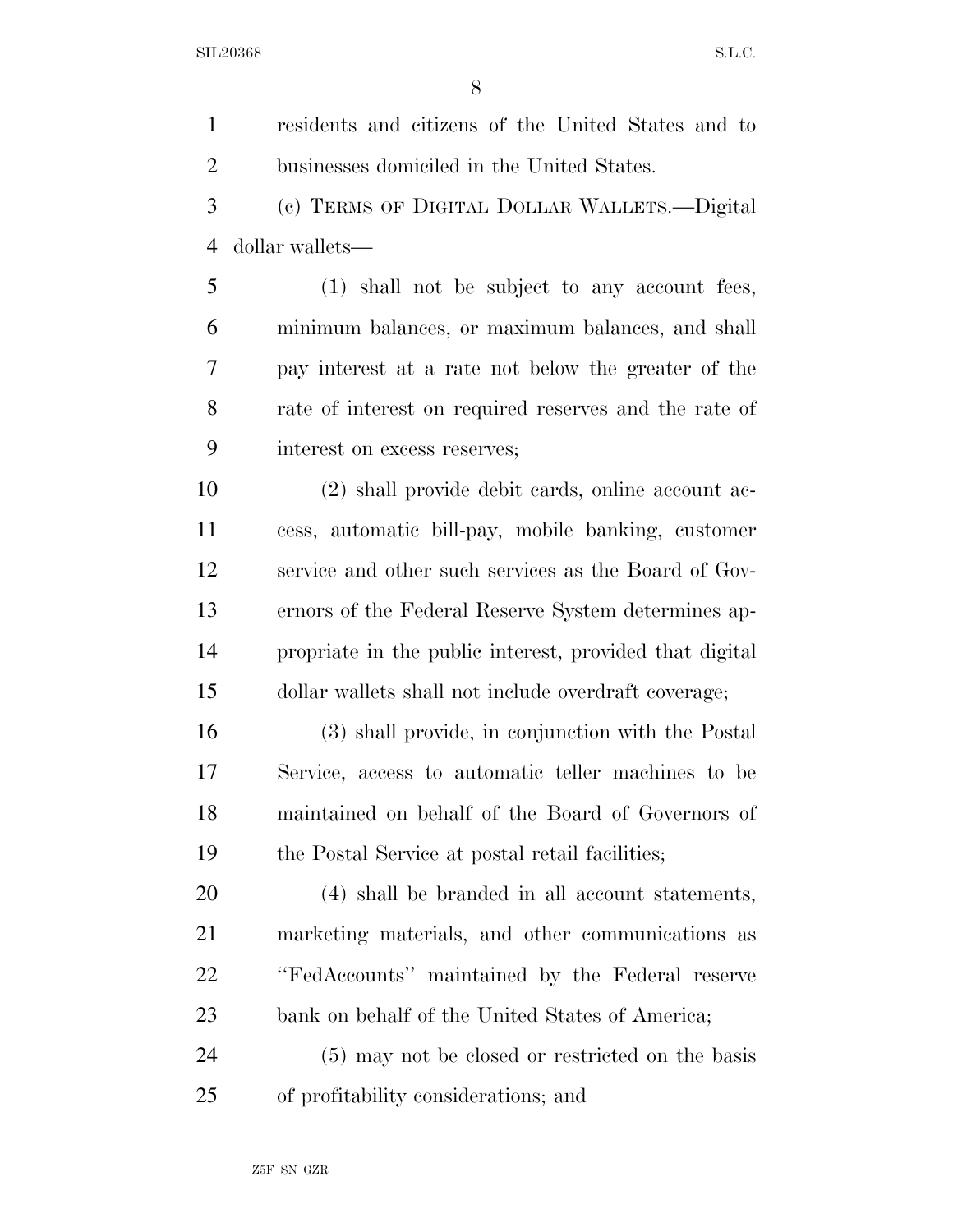$SLL20368$  S.L.C.

| $\mathbf{1}$   | residents and citizens of the United States and to      |
|----------------|---------------------------------------------------------|
| $\overline{2}$ | businesses domiciled in the United States.              |
| 3              | (c) TERMS OF DIGITAL DOLLAR WALLETS.—Digital            |
| 4              | dollar wallets—                                         |
| 5              | (1) shall not be subject to any account fees,           |
| 6              | minimum balances, or maximum balances, and shall        |
| 7              | pay interest at a rate not below the greater of the     |
| 8              | rate of interest on required reserves and the rate of   |
| 9              | interest on excess reserves;                            |
| 10             | (2) shall provide debit cards, online account ac-       |
| 11             | cess, automatic bill-pay, mobile banking, customer      |
| 12             | service and other such services as the Board of Gov-    |
| 13             | ernors of the Federal Reserve System determines ap-     |
| 14             | propriate in the public interest, provided that digital |
| 15             | dollar wallets shall not include overdraft coverage;    |
| 16             | (3) shall provide, in conjunction with the Postal       |
| 17             | Service, access to automatic teller machines to be      |
| 18             | maintained on behalf of the Board of Governors of       |
| 19             | the Postal Service at postal retail facilities;         |
| 20             | (4) shall be branded in all account statements,         |
| 21             | marketing materials, and other communications as        |
| 22             | "FedAccounts" maintained by the Federal reserve         |
| 23             | bank on behalf of the United States of America;         |
| 24             | (5) may not be closed or restricted on the basis        |
| 25             | of profitability considerations; and                    |